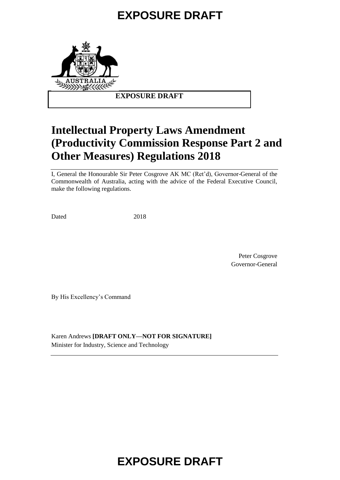

### **EXPOSURE DRAFT**

## **Intellectual Property Laws Amendment (Productivity Commission Response Part 2 and Other Measures) Regulations 2018**

I, General the Honourable Sir Peter Cosgrove AK MC (Ret'd), Governor-General of the Commonwealth of Australia, acting with the advice of the Federal Executive Council, make the following regulations.

Dated 2018

Peter Cosgrove Governor-General

By His Excellency's Command

Karen Andrews **[DRAFT ONLY—NOT FOR SIGNATURE]** Minister for Industry, Science and Technology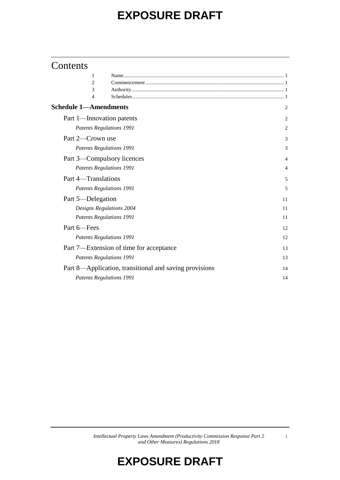## **Contents**

| 1                            |                                                        |                |
|------------------------------|--------------------------------------------------------|----------------|
| 2                            |                                                        |                |
| 3                            |                                                        |                |
| 4                            |                                                        |                |
| <b>Schedule 1—Amendments</b> |                                                        | 2              |
| Part 1-Innovation patents    |                                                        | 2              |
|                              | <b>Patents Regulations 1991</b>                        | 2              |
| Part 2-Crown use             |                                                        | 3              |
|                              | <b>Patents Regulations 1991</b>                        | 3              |
| Part 3—Compulsory licences   |                                                        | 4              |
|                              | <b>Patents Regulations 1991</b>                        | $\overline{4}$ |
| Part 4-Translations          |                                                        | 5              |
|                              | <b>Patents Regulations 1991</b>                        | 5              |
| Part 5—Delegation            |                                                        | 11             |
|                              | Designs Regulations 2004                               | 11             |
|                              | <b>Patents Regulations 1991</b>                        | 11             |
| Part 6-Fees                  |                                                        | 12             |
|                              | <b>Patents Regulations 1991</b>                        | 12             |
|                              | Part 7—Extension of time for acceptance                | 13             |
|                              | <b>Patents Regulations 1991</b>                        | 13             |
|                              | Part 8—Application, transitional and saving provisions | 14             |
|                              | <b>Patents Regulations 1991</b>                        | 14             |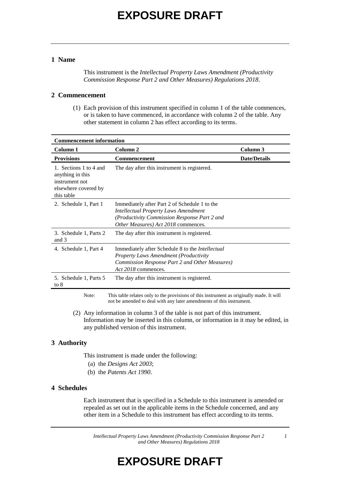#### **1 Name**

This instrument is the *Intellectual Property Laws Amendment (Productivity Commission Response Part 2 and Other Measures) Regulations 2018*.

#### **2 Commencement**

(1) Each provision of this instrument specified in column 1 of the table commences, or is taken to have commenced, in accordance with column 2 of the table. Any other statement in column 2 has effect according to its terms.

| <b>Commencement information</b>                                                                    |                                                                                                                                                                                     |                     |  |
|----------------------------------------------------------------------------------------------------|-------------------------------------------------------------------------------------------------------------------------------------------------------------------------------------|---------------------|--|
| Column 1                                                                                           | Column 2                                                                                                                                                                            | Column 3            |  |
| <b>Provisions</b>                                                                                  | Commencement                                                                                                                                                                        | <b>Date/Details</b> |  |
| 1. Sections 1 to 4 and<br>anything in this<br>instrument not<br>elsewhere covered by<br>this table | The day after this instrument is registered.                                                                                                                                        |                     |  |
| 2. Schedule 1, Part 1                                                                              | Immediately after Part 2 of Schedule 1 to the<br><b>Intellectual Property Laws Amendment</b><br>(Productivity Commission Response Part 2 and<br>Other Measures) Act 2018 commences. |                     |  |
| 3. Schedule 1, Parts 2<br>and 3                                                                    | The day after this instrument is registered.                                                                                                                                        |                     |  |
| 4. Schedule 1, Part 4                                                                              | Immediately after Schedule 8 to the Intellectual<br><b>Property Laws Amendment (Productivity</b><br>Commission Response Part 2 and Other Measures)<br>Act 2018 commences.           |                     |  |
| 5. Schedule 1, Parts 5<br>to $8$                                                                   | The day after this instrument is registered.                                                                                                                                        |                     |  |
| Note:                                                                                              | This table relates only to the provisions of this instrument as originally made. It will<br>not be amended to deal with any later amendments of this instrument.                    |                     |  |

(2) Any information in column 3 of the table is not part of this instrument. Information may be inserted in this column, or information in it may be edited, in any published version of this instrument.

#### **3 Authority**

- This instrument is made under the following:
	- (a) the *Designs Act 2003*;
	- (b) the *Patents Act 1990*.

#### **4 Schedules**

Each instrument that is specified in a Schedule to this instrument is amended or repealed as set out in the applicable items in the Schedule concerned, and any other item in a Schedule to this instrument has effect according to its terms.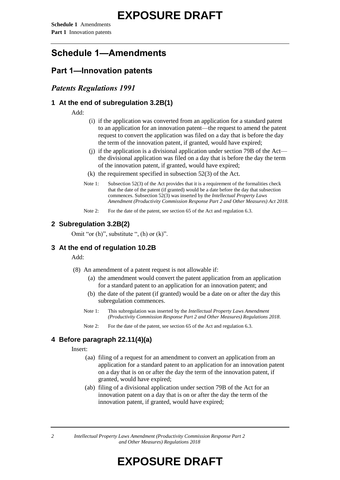## **Schedule 1—Amendments**

## **Part 1—Innovation patents**

### *Patents Regulations 1991*

#### **1 At the end of subregulation 3.2B(1)**

Add:

- (i) if the application was converted from an application for a standard patent to an application for an innovation patent—the request to amend the patent request to convert the application was filed on a day that is before the day the term of the innovation patent, if granted, would have expired;
- (j) if the application is a divisional application under section 79B of the Act the divisional application was filed on a day that is before the day the term of the innovation patent, if granted, would have expired;
- $(k)$  the requirement specified in subsection 52(3) of the Act.
- Note 1: Subsection 52(3) of the Act provides that it is a requirement of the formalities check that the date of the patent (if granted) would be a date before the day that subsection commences. Subsection 52(3) was inserted by the *Intellectual Property Laws Amendment (Productivity Commission Response Part 2 and Other Measures) Act 2018.*
- Note 2: For the date of the patent, see section 65 of the Act and regulation 6.3.

### **2 Subregulation 3.2B(2)**

Omit "or  $(h)$ ", substitute ",  $(h)$  or  $(k)$ ".

#### **3 At the end of regulation 10.2B**

#### Add:

- (8) An amendment of a patent request is not allowable if:
	- (a) the amendment would convert the patent application from an application for a standard patent to an application for an innovation patent; and
	- (b) the date of the patent (if granted) would be a date on or after the day this subregulation commences.
	- Note 1: This subregulation was inserted by the *Intellectual Property Laws Amendment (Productivity Commission Response Part 2 and Other Measures) Regulations 2018*.
	- Note 2: For the date of the patent, see section 65 of the Act and regulation 6.3.

#### **4 Before paragraph 22.11(4)(a)**

Insert:

- (aa) filing of a request for an amendment to convert an application from an application for a standard patent to an application for an innovation patent on a day that is on or after the day the term of the innovation patent, if granted, would have expired;
- (ab) filing of a divisional application under section 79B of the Act for an innovation patent on a day that is on or after the day the term of the innovation patent, if granted, would have expired;

*2 Intellectual Property Laws Amendment (Productivity Commission Response Part 2 and Other Measures) Regulations 2018*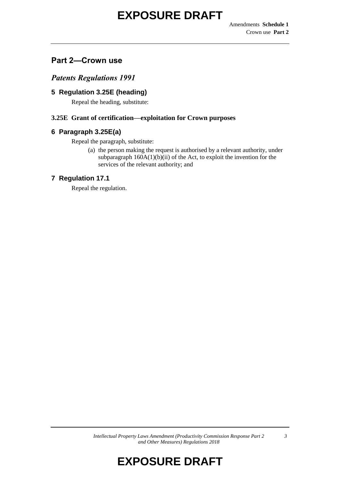## **Part 2—Crown use**

*Patents Regulations 1991*

### **5 Regulation 3.25E (heading)**

Repeal the heading, substitute:

#### **3.25E Grant of certification—exploitation for Crown purposes**

#### **6 Paragraph 3.25E(a)**

Repeal the paragraph, substitute:

(a) the person making the request is authorised by a relevant authority, under subparagraph  $160A(1)(b)(ii)$  of the Act, to exploit the invention for the services of the relevant authority; and

#### **7 Regulation 17.1**

Repeal the regulation.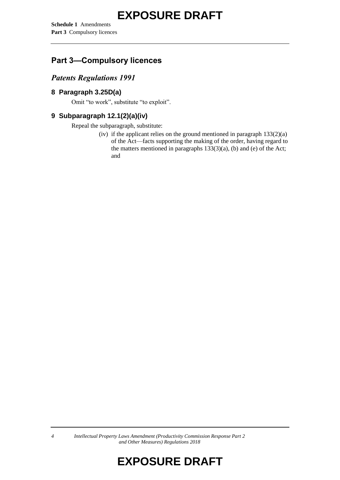**Schedule 1** Amendments **Part 3** Compulsory licences

## **Part 3—Compulsory licences**

## *Patents Regulations 1991*

### **8 Paragraph 3.25D(a)**

Omit "to work", substitute "to exploit".

## **9 Subparagraph 12.1(2)(a)(iv)**

Repeal the subparagraph, substitute:

(iv) if the applicant relies on the ground mentioned in paragraph  $133(2)(a)$ of the Act—facts supporting the making of the order, having regard to the matters mentioned in paragraphs  $133(3)(a)$ , (b) and (e) of the Act; and

*4 Intellectual Property Laws Amendment (Productivity Commission Response Part 2 and Other Measures) Regulations 2018*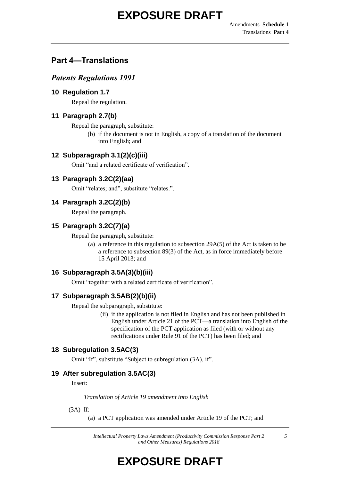## **Part 4—Translations**

## *Patents Regulations 1991*

### **10 Regulation 1.7**

Repeal the regulation.

## **11 Paragraph 2.7(b)**

Repeal the paragraph, substitute:

(b) if the document is not in English, a copy of a translation of the document into English; and

## **12 Subparagraph 3.1(2)(c)(iii)**

Omit "and a related certificate of verification".

## **13 Paragraph 3.2C(2)(aa)**

Omit "relates; and", substitute "relates.".

## **14 Paragraph 3.2C(2)(b)**

Repeal the paragraph.

## **15 Paragraph 3.2C(7)(a)**

Repeal the paragraph, substitute:

(a) a reference in this regulation to subsection 29A(5) of the Act is taken to be a reference to subsection 89(3) of the Act, as in force immediately before 15 April 2013; and

## **16 Subparagraph 3.5A(3)(b)(iii)**

Omit "together with a related certificate of verification".

### **17 Subparagraph 3.5AB(2)(b)(ii)**

Repeal the subparagraph, substitute:

(ii) if the application is not filed in English and has not been published in English under Article 21 of the PCT—a translation into English of the specification of the PCT application as filed (with or without any rectifications under Rule 91 of the PCT) has been filed; and

### **18 Subregulation 3.5AC(3)**

Omit "If", substitute "Subject to subregulation (3A), if".

### **19 After subregulation 3.5AC(3)**

Insert:

*Translation of Article 19 amendment into English*

(3A) If:

(a) a PCT application was amended under Article 19 of the PCT; and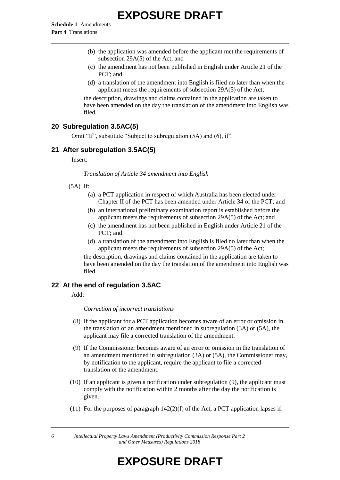- (b) the application was amended before the applicant met the requirements of subsection 29A(5) of the Act; and
- (c) the amendment has not been published in English under Article 21 of the PCT; and
- (d) a translation of the amendment into English is filed no later than when the applicant meets the requirements of subsection 29A(5) of the Act;

the description, drawings and claims contained in the application are taken to have been amended on the day the translation of the amendment into English was filed.

#### **20 Subregulation 3.5AC(5)**

Omit "If", substitute "Subject to subregulation (5A) and (6), if".

#### **21 After subregulation 3.5AC(5)**

Insert:

*Translation of Article 34 amendment into English*

#### (5A) If:

- (a) a PCT application in respect of which Australia has been elected under Chapter II of the PCT has been amended under Article 34 of the PCT; and
- (b) an international preliminary examination report is established before the applicant meets the requirements of subsection 29A(5) of the Act; and
- (c) the amendment has not been published in English under Article 21 of the PCT; and
- (d) a translation of the amendment into English is filed no later than when the applicant meets the requirements of subsection 29A(5) of the Act;

the description, drawings and claims contained in the application are taken to have been amended on the day the translation of the amendment into English was filed.

#### **22 At the end of regulation 3.5AC**

Add:

*Correction of incorrect translations*

- (8) If the applicant for a PCT application becomes aware of an error or omission in the translation of an amendment mentioned in subregulation (3A) or (5A), the applicant may file a corrected translation of the amendment.
- (9) If the Commissioner becomes aware of an error or omission in the translation of an amendment mentioned in subregulation (3A) or (5A), the Commissioner may, by notification to the applicant, require the applicant to file a corrected translation of the amendment.
- (10) If an applicant is given a notification under subregulation (9), the applicant must comply with the notification within 2 months after the day the notification is given.
- (11) For the purposes of paragraph  $142(2)(f)$  of the Act, a PCT application lapses if:

*6 Intellectual Property Laws Amendment (Productivity Commission Response Part 2 and Other Measures) Regulations 2018*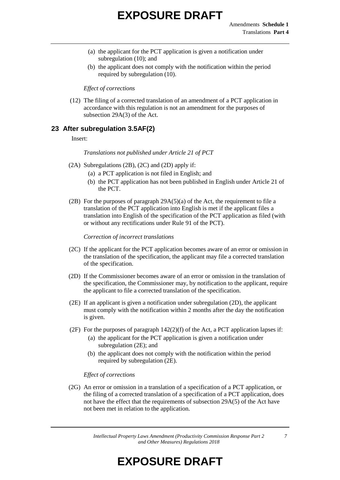- (a) the applicant for the PCT application is given a notification under subregulation (10); and
- (b) the applicant does not comply with the notification within the period required by subregulation (10).

*Effect of corrections*

(12) The filing of a corrected translation of an amendment of a PCT application in accordance with this regulation is not an amendment for the purposes of subsection 29A(3) of the Act.

#### **23 After subregulation 3.5AF(2)**

#### Insert:

*Translations not published under Article 21 of PCT*

- (2A) Subregulations (2B), (2C) and (2D) apply if:
	- (a) a PCT application is not filed in English; and
	- (b) the PCT application has not been published in English under Article 21 of the PCT.
- (2B) For the purposes of paragraph  $29A(5)(a)$  of the Act, the requirement to file a translation of the PCT application into English is met if the applicant files a translation into English of the specification of the PCT application as filed (with or without any rectifications under Rule 91 of the PCT).

*Correction of incorrect translations*

- (2C) If the applicant for the PCT application becomes aware of an error or omission in the translation of the specification, the applicant may file a corrected translation of the specification.
- (2D) If the Commissioner becomes aware of an error or omission in the translation of the specification, the Commissioner may, by notification to the applicant, require the applicant to file a corrected translation of the specification.
- (2E) If an applicant is given a notification under subregulation (2D), the applicant must comply with the notification within 2 months after the day the notification is given.
- (2F) For the purposes of paragraph  $142(2)(f)$  of the Act, a PCT application lapses if:
	- (a) the applicant for the PCT application is given a notification under subregulation (2E); and
	- (b) the applicant does not comply with the notification within the period required by subregulation (2E).

#### *Effect of corrections*

(2G) An error or omission in a translation of a specification of a PCT application, or the filing of a corrected translation of a specification of a PCT application, does not have the effect that the requirements of subsection 29A(5) of the Act have not been met in relation to the application.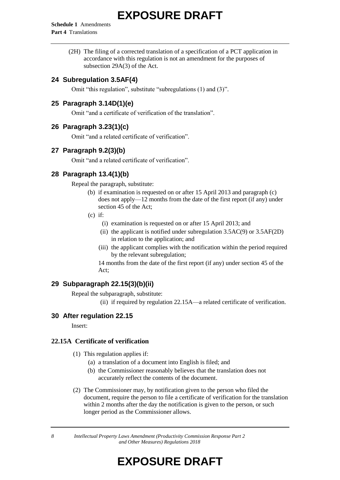**Schedule 1** Amendments **Part 4** Translations

> (2H) The filing of a corrected translation of a specification of a PCT application in accordance with this regulation is not an amendment for the purposes of subsection 29A(3) of the Act.

#### **24 Subregulation 3.5AF(4)**

Omit "this regulation", substitute "subregulations (1) and (3)".

#### **25 Paragraph 3.14D(1)(e)**

Omit "and a certificate of verification of the translation".

#### **26 Paragraph 3.23(1)(c)**

Omit "and a related certificate of verification".

#### **27 Paragraph 9.2(3)(b)**

Omit "and a related certificate of verification".

#### **28 Paragraph 13.4(1)(b)**

Repeal the paragraph, substitute:

- (b) if examination is requested on or after 15 April 2013 and paragraph (c) does not apply—12 months from the date of the first report (if any) under section 45 of the Act;
- $(c)$  if:
	- (i) examination is requested on or after 15 April 2013; and
	- (ii) the applicant is notified under subregulation  $3.5AC(9)$  or  $3.5AF(2D)$ in relation to the application; and
	- (iii) the applicant complies with the notification within the period required by the relevant subregulation;

14 months from the date of the first report (if any) under section 45 of the Act;

#### **29 Subparagraph 22.15(3)(b)(ii)**

Repeal the subparagraph, substitute:

(ii) if required by regulation 22.15A—a related certificate of verification.

#### **30 After regulation 22.15**

Insert:

#### **22.15A Certificate of verification**

- (1) This regulation applies if:
	- (a) a translation of a document into English is filed; and
	- (b) the Commissioner reasonably believes that the translation does not accurately reflect the contents of the document.
- (2) The Commissioner may, by notification given to the person who filed the document, require the person to file a certificate of verification for the translation within 2 months after the day the notification is given to the person, or such longer period as the Commissioner allows.

*8 Intellectual Property Laws Amendment (Productivity Commission Response Part 2 and Other Measures) Regulations 2018*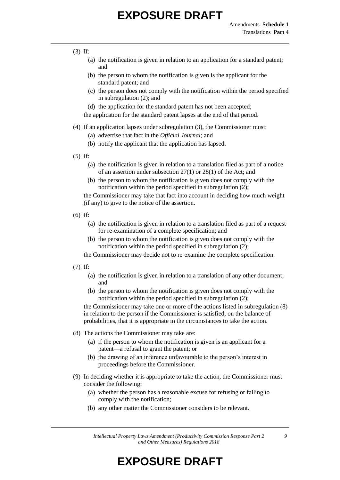#### (3) If:

- (a) the notification is given in relation to an application for a standard patent; and
- (b) the person to whom the notification is given is the applicant for the standard patent; and
- (c) the person does not comply with the notification within the period specified in subregulation (2); and
- (d) the application for the standard patent has not been accepted;

the application for the standard patent lapses at the end of that period.

- (4) If an application lapses under subregulation (3), the Commissioner must:
	- (a) advertise that fact in the *Official Journal*; and
	- (b) notify the applicant that the application has lapsed.
- (5) If:
	- (a) the notification is given in relation to a translation filed as part of a notice of an assertion under subsection 27(1) or 28(1) of the Act; and
	- (b) the person to whom the notification is given does not comply with the notification within the period specified in subregulation (2);

the Commissioner may take that fact into account in deciding how much weight (if any) to give to the notice of the assertion.

- (6) If:
	- (a) the notification is given in relation to a translation filed as part of a request for re-examination of a complete specification; and
	- (b) the person to whom the notification is given does not comply with the notification within the period specified in subregulation (2);

the Commissioner may decide not to re-examine the complete specification.

- (7) If:
	- (a) the notification is given in relation to a translation of any other document; and
	- (b) the person to whom the notification is given does not comply with the notification within the period specified in subregulation (2);

the Commissioner may take one or more of the actions listed in subregulation (8) in relation to the person if the Commissioner is satisfied, on the balance of probabilities, that it is appropriate in the circumstances to take the action.

- (8) The actions the Commissioner may take are:
	- (a) if the person to whom the notification is given is an applicant for a patent—a refusal to grant the patent; or
	- (b) the drawing of an inference unfavourable to the person's interest in proceedings before the Commissioner.
- (9) In deciding whether it is appropriate to take the action, the Commissioner must consider the following:
	- (a) whether the person has a reasonable excuse for refusing or failing to comply with the notification;
	- (b) any other matter the Commissioner considers to be relevant.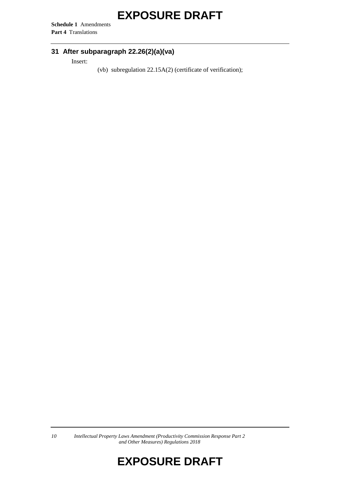**Schedule 1** Amendments **Part 4** Translations

## **31 After subparagraph 22.26(2)(a)(va)**

Insert:

(vb) subregulation 22.15A(2) (certificate of verification);

*10 Intellectual Property Laws Amendment (Productivity Commission Response Part 2 and Other Measures) Regulations 2018*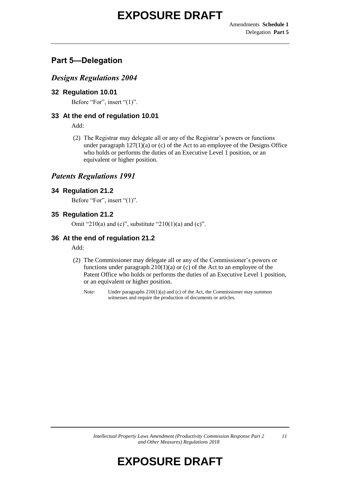## **Part 5—Delegation**

### *Designs Regulations 2004*

### **32 Regulation 10.01**

Before "For", insert "(1)".

### **33 At the end of regulation 10.01**

Add:

(2) The Registrar may delegate all or any of the Registrar's powers or functions under paragraph  $127(1)(a)$  or (c) of the Act to an employee of the Designs Office who holds or performs the duties of an Executive Level 1 position, or an equivalent or higher position.

## *Patents Regulations 1991*

#### **34 Regulation 21.2**

Before "For", insert "(1)".

### **35 Regulation 21.2**

Omit "210(a) and (c)", substitute "210(1)(a) and (c)".

### **36 At the end of regulation 21.2**

Add:

- (2) The Commissioner may delegate all or any of the Commissioner's powers or functions under paragraph  $210(1)(a)$  or (c) of the Act to an employee of the Patent Office who holds or performs the duties of an Executive Level 1 position, or an equivalent or higher position.
	- Note: Under paragraphs 210(1)(a) and (c) of the Act, the Commissioner may summon witnesses and require the production of documents or articles.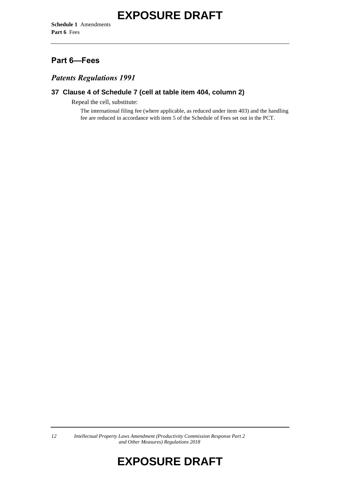## **Part 6—Fees**

### *Patents Regulations 1991*

### **37 Clause 4 of Schedule 7 (cell at table item 404, column 2)**

Repeal the cell, substitute:

The international filing fee (where applicable, as reduced under item 403) and the handling fee are reduced in accordance with item 5 of the Schedule of Fees set out in the PCT.

*12 Intellectual Property Laws Amendment (Productivity Commission Response Part 2 and Other Measures) Regulations 2018*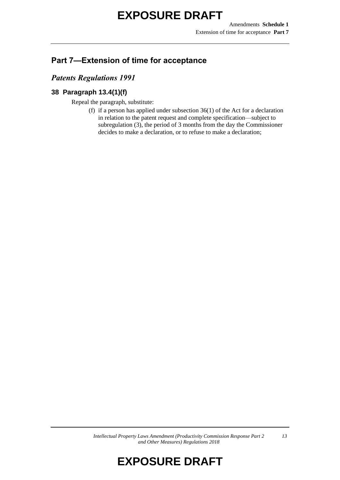## **Part 7—Extension of time for acceptance**

### *Patents Regulations 1991*

### **38 Paragraph 13.4(1)(f)**

Repeal the paragraph, substitute:

(f) if a person has applied under subsection 36(1) of the Act for a declaration in relation to the patent request and complete specification—subject to subregulation (3), the period of 3 months from the day the Commissioner decides to make a declaration, or to refuse to make a declaration;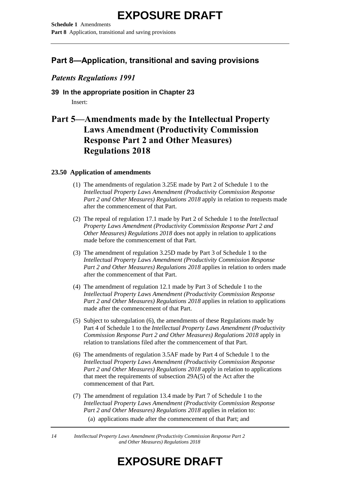**Schedule 1** Amendments **Part 8** Application, transitional and saving provisions

## **Part 8—Application, transitional and saving provisions**

## *Patents Regulations 1991*

## **39 In the appropriate position in Chapter 23** Insert:

## **Part 5—Amendments made by the Intellectual Property Laws Amendment (Productivity Commission Response Part 2 and Other Measures) Regulations 2018**

#### **23.50 Application of amendments**

- (1) The amendments of regulation 3.25E made by Part 2 of Schedule 1 to the *Intellectual Property Laws Amendment (Productivity Commission Response Part 2 and Other Measures) Regulations 2018* apply in relation to requests made after the commencement of that Part.
- (2) The repeal of regulation 17.1 made by Part 2 of Schedule 1 to the *Intellectual Property Laws Amendment (Productivity Commission Response Part 2 and Other Measures) Regulations 2018* does not apply in relation to applications made before the commencement of that Part.
- (3) The amendment of regulation 3.25D made by Part 3 of Schedule 1 to the *Intellectual Property Laws Amendment (Productivity Commission Response Part 2 and Other Measures) Regulations 2018* applies in relation to orders made after the commencement of that Part.
- (4) The amendment of regulation 12.1 made by Part 3 of Schedule 1 to the *Intellectual Property Laws Amendment (Productivity Commission Response Part 2 and Other Measures) Regulations 2018* applies in relation to applications made after the commencement of that Part.
- (5) Subject to subregulation (6), the amendments of these Regulations made by Part 4 of Schedule 1 to the *Intellectual Property Laws Amendment (Productivity Commission Response Part 2 and Other Measures) Regulations 2018* apply in relation to translations filed after the commencement of that Part.
- (6) The amendments of regulation 3.5AF made by Part 4 of Schedule 1 to the *Intellectual Property Laws Amendment (Productivity Commission Response Part 2 and Other Measures) Regulations 2018* apply in relation to applications that meet the requirements of subsection 29A(5) of the Act after the commencement of that Part.
- (7) The amendment of regulation 13.4 made by Part 7 of Schedule 1 to the *Intellectual Property Laws Amendment (Productivity Commission Response Part 2 and Other Measures) Regulations 2018* applies in relation to: (a) applications made after the commencement of that Part; and

*14 Intellectual Property Laws Amendment (Productivity Commission Response Part 2 and Other Measures) Regulations 2018*